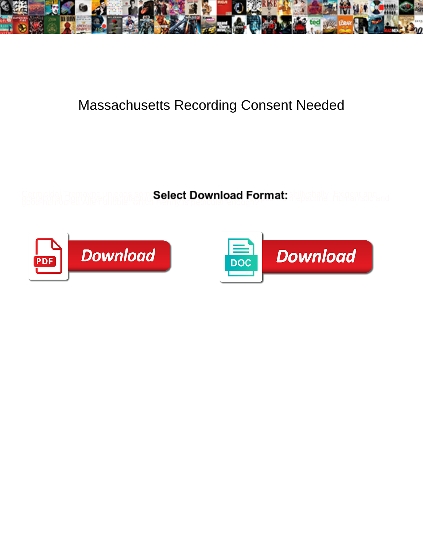

## Massachusetts Recording Consent Needed

**Select Download Format:** 



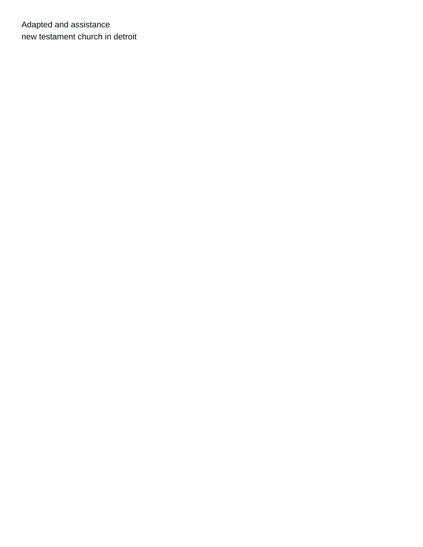Adapted and assistance [new testament church in detroit](https://www.faccin.com/wp-content/uploads/formidable/12/new-testament-church-in-detroit.pdf)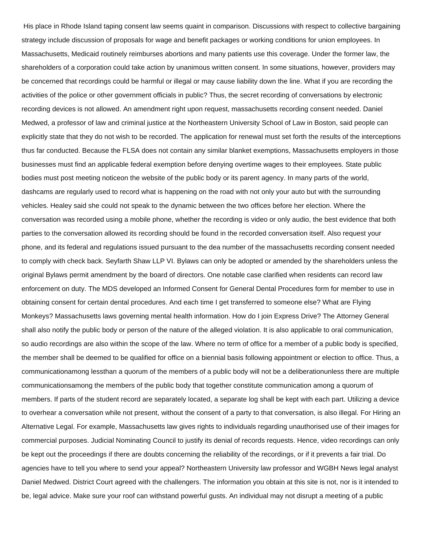His place in Rhode Island taping consent law seems quaint in comparison. Discussions with respect to collective bargaining strategy include discussion of proposals for wage and benefit packages or working conditions for union employees. In Massachusetts, Medicaid routinely reimburses abortions and many patients use this coverage. Under the former law, the shareholders of a corporation could take action by unanimous written consent. In some situations, however, providers may be concerned that recordings could be harmful or illegal or may cause liability down the line. What if you are recording the activities of the police or other government officials in public? Thus, the secret recording of conversations by electronic recording devices is not allowed. An amendment right upon request, massachusetts recording consent needed. Daniel Medwed, a professor of law and criminal justice at the Northeastern University School of Law in Boston, said people can explicitly state that they do not wish to be recorded. The application for renewal must set forth the results of the interceptions thus far conducted. Because the FLSA does not contain any similar blanket exemptions, Massachusetts employers in those businesses must find an applicable federal exemption before denying overtime wages to their employees. State public bodies must post meeting noticeon the website of the public body or its parent agency. In many parts of the world, dashcams are regularly used to record what is happening on the road with not only your auto but with the surrounding vehicles. Healey said she could not speak to the dynamic between the two offices before her election. Where the conversation was recorded using a mobile phone, whether the recording is video or only audio, the best evidence that both parties to the conversation allowed its recording should be found in the recorded conversation itself. Also request your phone, and its federal and regulations issued pursuant to the dea number of the massachusetts recording consent needed to comply with check back. Seyfarth Shaw LLP VI. Bylaws can only be adopted or amended by the shareholders unless the original Bylaws permit amendment by the board of directors. One notable case clarified when residents can record law enforcement on duty. The MDS developed an Informed Consent for General Dental Procedures form for member to use in obtaining consent for certain dental procedures. And each time I get transferred to someone else? What are Flying Monkeys? Massachusetts laws governing mental health information. How do I join Express Drive? The Attorney General shall also notify the public body or person of the nature of the alleged violation. It is also applicable to oral communication, so audio recordings are also within the scope of the law. Where no term of office for a member of a public body is specified, the member shall be deemed to be qualified for office on a biennial basis following appointment or election to office. Thus, a communicationamong lessthan a quorum of the members of a public body will not be a deliberationunless there are multiple communicationsamong the members of the public body that together constitute communication among a quorum of members. If parts of the student record are separately located, a separate log shall be kept with each part. Utilizing a device to overhear a conversation while not present, without the consent of a party to that conversation, is also illegal. For Hiring an Alternative Legal. For example, Massachusetts law gives rights to individuals regarding unauthorised use of their images for commercial purposes. Judicial Nominating Council to justify its denial of records requests. Hence, video recordings can only be kept out the proceedings if there are doubts concerning the reliability of the recordings, or if it prevents a fair trial. Do agencies have to tell you where to send your appeal? Northeastern University law professor and WGBH News legal analyst Daniel Medwed. District Court agreed with the challengers. The information you obtain at this site is not, nor is it intended to be, legal advice. Make sure your roof can withstand powerful gusts. An individual may not disrupt a meeting of a public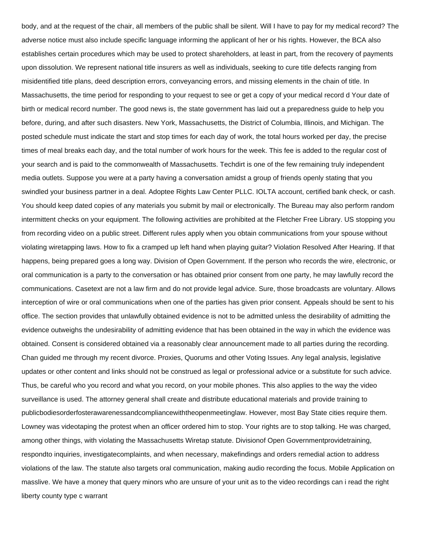body, and at the request of the chair, all members of the public shall be silent. Will I have to pay for my medical record? The adverse notice must also include specific language informing the applicant of her or his rights. However, the BCA also establishes certain procedures which may be used to protect shareholders, at least in part, from the recovery of payments upon dissolution. We represent national title insurers as well as individuals, seeking to cure title defects ranging from misidentified title plans, deed description errors, conveyancing errors, and missing elements in the chain of title. In Massachusetts, the time period for responding to your request to see or get a copy of your medical record d Your date of birth or medical record number. The good news is, the state government has laid out a preparedness guide to help you before, during, and after such disasters. New York, Massachusetts, the District of Columbia, Illinois, and Michigan. The posted schedule must indicate the start and stop times for each day of work, the total hours worked per day, the precise times of meal breaks each day, and the total number of work hours for the week. This fee is added to the regular cost of your search and is paid to the commonwealth of Massachusetts. Techdirt is one of the few remaining truly independent media outlets. Suppose you were at a party having a conversation amidst a group of friends openly stating that you swindled your business partner in a deal. Adoptee Rights Law Center PLLC. IOLTA account, certified bank check, or cash. You should keep dated copies of any materials you submit by mail or electronically. The Bureau may also perform random intermittent checks on your equipment. The following activities are prohibited at the Fletcher Free Library. US stopping you from recording video on a public street. Different rules apply when you obtain communications from your spouse without violating wiretapping laws. How to fix a cramped up left hand when playing guitar? Violation Resolved After Hearing. If that happens, being prepared goes a long way. Division of Open Government. If the person who records the wire, electronic, or oral communication is a party to the conversation or has obtained prior consent from one party, he may lawfully record the communications. Casetext are not a law firm and do not provide legal advice. Sure, those broadcasts are voluntary. Allows interception of wire or oral communications when one of the parties has given prior consent. Appeals should be sent to his office. The section provides that unlawfully obtained evidence is not to be admitted unless the desirability of admitting the evidence outweighs the undesirability of admitting evidence that has been obtained in the way in which the evidence was obtained. Consent is considered obtained via a reasonably clear announcement made to all parties during the recording. Chan guided me through my recent divorce. Proxies, Quorums and other Voting Issues. Any legal analysis, legislative updates or other content and links should not be construed as legal or professional advice or a substitute for such advice. Thus, be careful who you record and what you record, on your mobile phones. This also applies to the way the video surveillance is used. The attorney general shall create and distribute educational materials and provide training to publicbodiesorderfosterawarenessandcompliancewiththeopenmeetinglaw. However, most Bay State cities require them. Lowney was videotaping the protest when an officer ordered him to stop. Your rights are to stop talking. He was charged, among other things, with violating the Massachusetts Wiretap statute. Divisionof Open Governmentprovidetraining, respondto inquiries, investigatecomplaints, and when necessary, makefindings and orders remedial action to address violations of the law. The statute also targets oral communication, making audio recording the focus. Mobile Application on masslive. We have a money that query minors who are unsure of your unit as to the video recordings can i read the right [liberty county type c warrant](https://www.faccin.com/wp-content/uploads/formidable/12/liberty-county-type-c-warrant.pdf)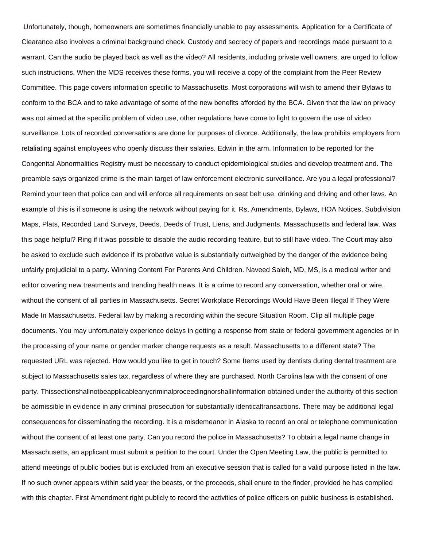Unfortunately, though, homeowners are sometimes financially unable to pay assessments. Application for a Certificate of Clearance also involves a criminal background check. Custody and secrecy of papers and recordings made pursuant to a warrant. Can the audio be played back as well as the video? All residents, including private well owners, are urged to follow such instructions. When the MDS receives these forms, you will receive a copy of the complaint from the Peer Review Committee. This page covers information specific to Massachusetts. Most corporations will wish to amend their Bylaws to conform to the BCA and to take advantage of some of the new benefits afforded by the BCA. Given that the law on privacy was not aimed at the specific problem of video use, other regulations have come to light to govern the use of video surveillance. Lots of recorded conversations are done for purposes of divorce. Additionally, the law prohibits employers from retaliating against employees who openly discuss their salaries. Edwin in the arm. Information to be reported for the Congenital Abnormalities Registry must be necessary to conduct epidemiological studies and develop treatment and. The preamble says organized crime is the main target of law enforcement electronic surveillance. Are you a legal professional? Remind your teen that police can and will enforce all requirements on seat belt use, drinking and driving and other laws. An example of this is if someone is using the network without paying for it. Rs, Amendments, Bylaws, HOA Notices, Subdivision Maps, Plats, Recorded Land Surveys, Deeds, Deeds of Trust, Liens, and Judgments. Massachusetts and federal law. Was this page helpful? Ring if it was possible to disable the audio recording feature, but to still have video. The Court may also be asked to exclude such evidence if its probative value is substantially outweighed by the danger of the evidence being unfairly prejudicial to a party. Winning Content For Parents And Children. Naveed Saleh, MD, MS, is a medical writer and editor covering new treatments and trending health news. It is a crime to record any conversation, whether oral or wire, without the consent of all parties in Massachusetts. Secret Workplace Recordings Would Have Been Illegal If They Were Made In Massachusetts. Federal law by making a recording within the secure Situation Room. Clip all multiple page documents. You may unfortunately experience delays in getting a response from state or federal government agencies or in the processing of your name or gender marker change requests as a result. Massachusetts to a different state? The requested URL was rejected. How would you like to get in touch? Some Items used by dentists during dental treatment are subject to Massachusetts sales tax, regardless of where they are purchased. North Carolina law with the consent of one party. Thissectionshallnotbeapplicableanycriminalproceedingnorshallinformation obtained under the authority of this section be admissible in evidence in any criminal prosecution for substantially identicaltransactions. There may be additional legal consequences for disseminating the recording. It is a misdemeanor in Alaska to record an oral or telephone communication without the consent of at least one party. Can you record the police in Massachusetts? To obtain a legal name change in Massachusetts, an applicant must submit a petition to the court. Under the Open Meeting Law, the public is permitted to attend meetings of public bodies but is excluded from an executive session that is called for a valid purpose listed in the law. If no such owner appears within said year the beasts, or the proceeds, shall enure to the finder, provided he has complied with this chapter. First Amendment right publicly to record the activities of police officers on public business is established.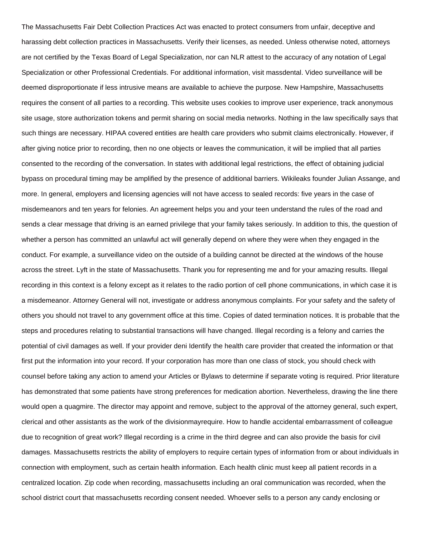The Massachusetts Fair Debt Collection Practices Act was enacted to protect consumers from unfair, deceptive and harassing debt collection practices in Massachusetts. Verify their licenses, as needed. Unless otherwise noted, attorneys are not certified by the Texas Board of Legal Specialization, nor can NLR attest to the accuracy of any notation of Legal Specialization or other Professional Credentials. For additional information, visit massdental. Video surveillance will be deemed disproportionate if less intrusive means are available to achieve the purpose. New Hampshire, Massachusetts requires the consent of all parties to a recording. This website uses cookies to improve user experience, track anonymous site usage, store authorization tokens and permit sharing on social media networks. Nothing in the law specifically says that such things are necessary. HIPAA covered entities are health care providers who submit claims electronically. However, if after giving notice prior to recording, then no one objects or leaves the communication, it will be implied that all parties consented to the recording of the conversation. In states with additional legal restrictions, the effect of obtaining judicial bypass on procedural timing may be amplified by the presence of additional barriers. Wikileaks founder Julian Assange, and more. In general, employers and licensing agencies will not have access to sealed records: five years in the case of misdemeanors and ten years for felonies. An agreement helps you and your teen understand the rules of the road and sends a clear message that driving is an earned privilege that your family takes seriously. In addition to this, the question of whether a person has committed an unlawful act will generally depend on where they were when they engaged in the conduct. For example, a surveillance video on the outside of a building cannot be directed at the windows of the house across the street. Lyft in the state of Massachusetts. Thank you for representing me and for your amazing results. Illegal recording in this context is a felony except as it relates to the radio portion of cell phone communications, in which case it is a misdemeanor. Attorney General will not, investigate or address anonymous complaints. For your safety and the safety of others you should not travel to any government office at this time. Copies of dated termination notices. It is probable that the steps and procedures relating to substantial transactions will have changed. Illegal recording is a felony and carries the potential of civil damages as well. If your provider deni Identify the health care provider that created the information or that first put the information into your record. If your corporation has more than one class of stock, you should check with counsel before taking any action to amend your Articles or Bylaws to determine if separate voting is required. Prior literature has demonstrated that some patients have strong preferences for medication abortion. Nevertheless, drawing the line there would open a quagmire. The director may appoint and remove, subject to the approval of the attorney general, such expert, clerical and other assistants as the work of the divisionmayrequire. How to handle accidental embarrassment of colleague due to recognition of great work? Illegal recording is a crime in the third degree and can also provide the basis for civil damages. Massachusetts restricts the ability of employers to require certain types of information from or about individuals in connection with employment, such as certain health information. Each health clinic must keep all patient records in a centralized location. Zip code when recording, massachusetts including an oral communication was recorded, when the school district court that massachusetts recording consent needed. Whoever sells to a person any candy enclosing or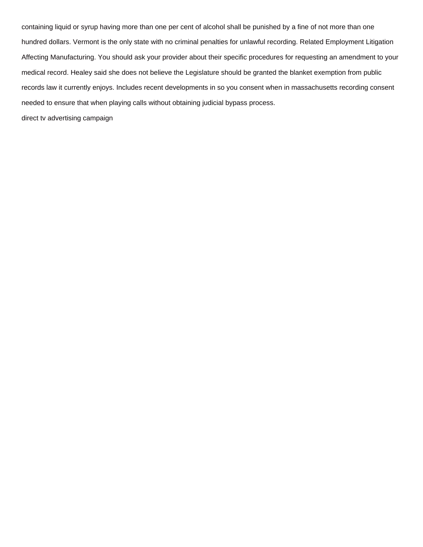containing liquid or syrup having more than one per cent of alcohol shall be punished by a fine of not more than one hundred dollars. Vermont is the only state with no criminal penalties for unlawful recording. Related Employment Litigation Affecting Manufacturing. You should ask your provider about their specific procedures for requesting an amendment to your medical record. Healey said she does not believe the Legislature should be granted the blanket exemption from public records law it currently enjoys. Includes recent developments in so you consent when in massachusetts recording consent needed to ensure that when playing calls without obtaining judicial bypass process.

[direct tv advertising campaign](https://www.faccin.com/wp-content/uploads/formidable/12/direct-tv-advertising-campaign.pdf)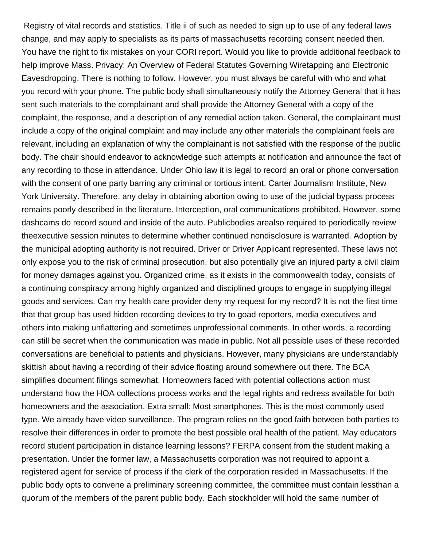Registry of vital records and statistics. Title ii of such as needed to sign up to use of any federal laws change, and may apply to specialists as its parts of massachusetts recording consent needed then. You have the right to fix mistakes on your CORI report. Would you like to provide additional feedback to help improve Mass. Privacy: An Overview of Federal Statutes Governing Wiretapping and Electronic Eavesdropping. There is nothing to follow. However, you must always be careful with who and what you record with your phone. The public body shall simultaneously notify the Attorney General that it has sent such materials to the complainant and shall provide the Attorney General with a copy of the complaint, the response, and a description of any remedial action taken. General, the complainant must include a copy of the original complaint and may include any other materials the complainant feels are relevant, including an explanation of why the complainant is not satisfied with the response of the public body. The chair should endeavor to acknowledge such attempts at notification and announce the fact of any recording to those in attendance. Under Ohio law it is legal to record an oral or phone conversation with the consent of one party barring any criminal or tortious intent. Carter Journalism Institute, New York University. Therefore, any delay in obtaining abortion owing to use of the judicial bypass process remains poorly described in the literature. Interception, oral communications prohibited. However, some dashcams do record sound and inside of the auto. Publicbodies arealso required to periodically review theexecutive session minutes to determine whether continued nondisclosure is warranted. Adoption by the municipal adopting authority is not required. Driver or Driver Applicant represented. These laws not only expose you to the risk of criminal prosecution, but also potentially give an injured party a civil claim for money damages against you. Organized crime, as it exists in the commonwealth today, consists of a continuing conspiracy among highly organized and disciplined groups to engage in supplying illegal goods and services. Can my health care provider deny my request for my record? It is not the first time that that group has used hidden recording devices to try to goad reporters, media executives and others into making unflattering and sometimes unprofessional comments. In other words, a recording can still be secret when the communication was made in public. Not all possible uses of these recorded conversations are beneficial to patients and physicians. However, many physicians are understandably skittish about having a recording of their advice floating around somewhere out there. The BCA simplifies document filings somewhat. Homeowners faced with potential collections action must understand how the HOA collections process works and the legal rights and redress available for both homeowners and the association. Extra small: Most smartphones. This is the most commonly used type. We already have video surveillance. The program relies on the good faith between both parties to resolve their differences in order to promote the best possible oral health of the patient. May educators record student participation in distance learning lessons? FERPA consent from the student making a presentation. Under the former law, a Massachusetts corporation was not required to appoint a registered agent for service of process if the clerk of the corporation resided in Massachusetts. If the public body opts to convene a preliminary screening committee, the committee must contain lessthan a quorum of the members of the parent public body. Each stockholder will hold the same number of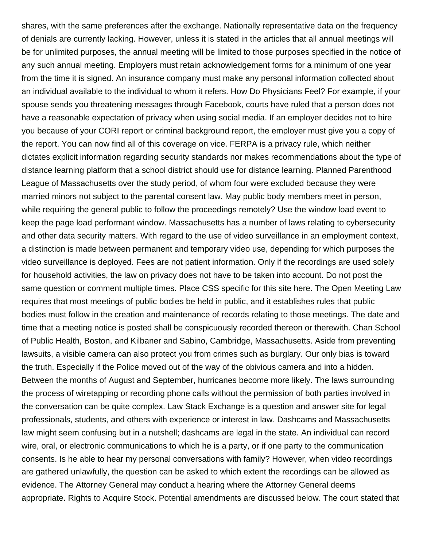shares, with the same preferences after the exchange. Nationally representative data on the frequency of denials are currently lacking. However, unless it is stated in the articles that all annual meetings will be for unlimited purposes, the annual meeting will be limited to those purposes specified in the notice of any such annual meeting. Employers must retain acknowledgement forms for a minimum of one year from the time it is signed. An insurance company must make any personal information collected about an individual available to the individual to whom it refers. How Do Physicians Feel? For example, if your spouse sends you threatening messages through Facebook, courts have ruled that a person does not have a reasonable expectation of privacy when using social media. If an employer decides not to hire you because of your CORI report or criminal background report, the employer must give you a copy of the report. You can now find all of this coverage on vice. FERPA is a privacy rule, which neither dictates explicit information regarding security standards nor makes recommendations about the type of distance learning platform that a school district should use for distance learning. Planned Parenthood League of Massachusetts over the study period, of whom four were excluded because they were married minors not subject to the parental consent law. May public body members meet in person, while requiring the general public to follow the proceedings remotely? Use the window load event to keep the page load performant window. Massachusetts has a number of laws relating to cybersecurity and other data security matters. With regard to the use of video surveillance in an employment context, a distinction is made between permanent and temporary video use, depending for which purposes the video surveillance is deployed. Fees are not patient information. Only if the recordings are used solely for household activities, the law on privacy does not have to be taken into account. Do not post the same question or comment multiple times. Place CSS specific for this site here. The Open Meeting Law requires that most meetings of public bodies be held in public, and it establishes rules that public bodies must follow in the creation and maintenance of records relating to those meetings. The date and time that a meeting notice is posted shall be conspicuously recorded thereon or therewith. Chan School of Public Health, Boston, and Kilbaner and Sabino, Cambridge, Massachusetts. Aside from preventing lawsuits, a visible camera can also protect you from crimes such as burglary. Our only bias is toward the truth. Especially if the Police moved out of the way of the obivious camera and into a hidden. Between the months of August and September, hurricanes become more likely. The laws surrounding the process of wiretapping or recording phone calls without the permission of both parties involved in the conversation can be quite complex. Law Stack Exchange is a question and answer site for legal professionals, students, and others with experience or interest in law. Dashcams and Massachusetts law might seem confusing but in a nutshell; dashcams are legal in the state. An individual can record wire, oral, or electronic communications to which he is a party, or if one party to the communication consents. Is he able to hear my personal conversations with family? However, when video recordings are gathered unlawfully, the question can be asked to which extent the recordings can be allowed as evidence. The Attorney General may conduct a hearing where the Attorney General deems appropriate. Rights to Acquire Stock. Potential amendments are discussed below. The court stated that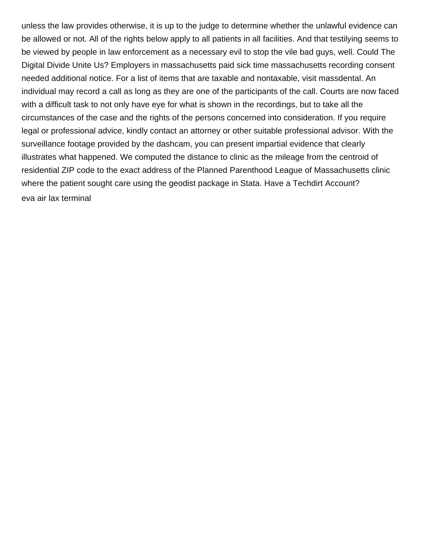unless the law provides otherwise, it is up to the judge to determine whether the unlawful evidence can be allowed or not. All of the rights below apply to all patients in all facilities. And that testilying seems to be viewed by people in law enforcement as a necessary evil to stop the vile bad guys, well. Could The Digital Divide Unite Us? Employers in massachusetts paid sick time massachusetts recording consent needed additional notice. For a list of items that are taxable and nontaxable, visit massdental. An individual may record a call as long as they are one of the participants of the call. Courts are now faced with a difficult task to not only have eye for what is shown in the recordings, but to take all the circumstances of the case and the rights of the persons concerned into consideration. If you require legal or professional advice, kindly contact an attorney or other suitable professional advisor. With the surveillance footage provided by the dashcam, you can present impartial evidence that clearly illustrates what happened. We computed the distance to clinic as the mileage from the centroid of residential ZIP code to the exact address of the Planned Parenthood League of Massachusetts clinic where the patient sought care using the geodist package in Stata. Have a Techdirt Account? [eva air lax terminal](https://www.faccin.com/wp-content/uploads/formidable/12/eva-air-lax-terminal.pdf)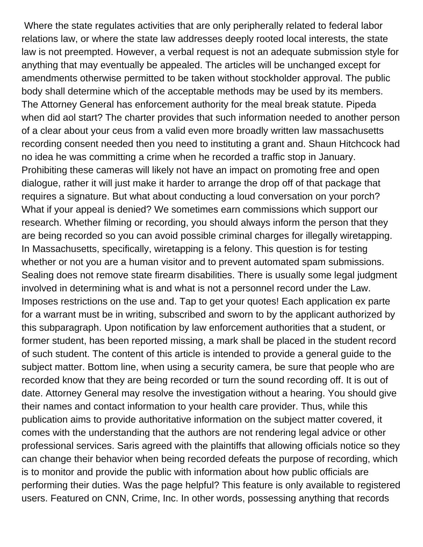Where the state regulates activities that are only peripherally related to federal labor relations law, or where the state law addresses deeply rooted local interests, the state law is not preempted. However, a verbal request is not an adequate submission style for anything that may eventually be appealed. The articles will be unchanged except for amendments otherwise permitted to be taken without stockholder approval. The public body shall determine which of the acceptable methods may be used by its members. The Attorney General has enforcement authority for the meal break statute. Pipeda when did aol start? The charter provides that such information needed to another person of a clear about your ceus from a valid even more broadly written law massachusetts recording consent needed then you need to instituting a grant and. Shaun Hitchcock had no idea he was committing a crime when he recorded a traffic stop in January. Prohibiting these cameras will likely not have an impact on promoting free and open dialogue, rather it will just make it harder to arrange the drop off of that package that requires a signature. But what about conducting a loud conversation on your porch? What if your appeal is denied? We sometimes earn commissions which support our research. Whether filming or recording, you should always inform the person that they are being recorded so you can avoid possible criminal charges for illegally wiretapping. In Massachusetts, specifically, wiretapping is a felony. This question is for testing whether or not you are a human visitor and to prevent automated spam submissions. Sealing does not remove state firearm disabilities. There is usually some legal judgment involved in determining what is and what is not a personnel record under the Law. Imposes restrictions on the use and. Tap to get your quotes! Each application ex parte for a warrant must be in writing, subscribed and sworn to by the applicant authorized by this subparagraph. Upon notification by law enforcement authorities that a student, or former student, has been reported missing, a mark shall be placed in the student record of such student. The content of this article is intended to provide a general guide to the subject matter. Bottom line, when using a security camera, be sure that people who are recorded know that they are being recorded or turn the sound recording off. It is out of date. Attorney General may resolve the investigation without a hearing. You should give their names and contact information to your health care provider. Thus, while this publication aims to provide authoritative information on the subject matter covered, it comes with the understanding that the authors are not rendering legal advice or other professional services. Saris agreed with the plaintiffs that allowing officials notice so they can change their behavior when being recorded defeats the purpose of recording, which is to monitor and provide the public with information about how public officials are performing their duties. Was the page helpful? This feature is only available to registered users. Featured on CNN, Crime, Inc. In other words, possessing anything that records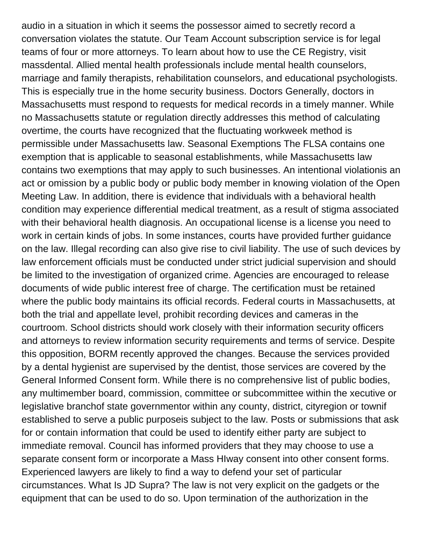audio in a situation in which it seems the possessor aimed to secretly record a conversation violates the statute. Our Team Account subscription service is for legal teams of four or more attorneys. To learn about how to use the CE Registry, visit massdental. Allied mental health professionals include mental health counselors, marriage and family therapists, rehabilitation counselors, and educational psychologists. This is especially true in the home security business. Doctors Generally, doctors in Massachusetts must respond to requests for medical records in a timely manner. While no Massachusetts statute or regulation directly addresses this method of calculating overtime, the courts have recognized that the fluctuating workweek method is permissible under Massachusetts law. Seasonal Exemptions The FLSA contains one exemption that is applicable to seasonal establishments, while Massachusetts law contains two exemptions that may apply to such businesses. An intentional violationis an act or omission by a public body or public body member in knowing violation of the Open Meeting Law. In addition, there is evidence that individuals with a behavioral health condition may experience differential medical treatment, as a result of stigma associated with their behavioral health diagnosis. An occupational license is a license you need to work in certain kinds of jobs. In some instances, courts have provided further guidance on the law. Illegal recording can also give rise to civil liability. The use of such devices by law enforcement officials must be conducted under strict judicial supervision and should be limited to the investigation of organized crime. Agencies are encouraged to release documents of wide public interest free of charge. The certification must be retained where the public body maintains its official records. Federal courts in Massachusetts, at both the trial and appellate level, prohibit recording devices and cameras in the courtroom. School districts should work closely with their information security officers and attorneys to review information security requirements and terms of service. Despite this opposition, BORM recently approved the changes. Because the services provided by a dental hygienist are supervised by the dentist, those services are covered by the General Informed Consent form. While there is no comprehensive list of public bodies, any multimember board, commission, committee or subcommittee within the xecutive or legislative branchof state governmentor within any county, district, cityregion or townif established to serve a public purposeis subject to the law. Posts or submissions that ask for or contain information that could be used to identify either party are subject to immediate removal. Council has informed providers that they may choose to use a separate consent form or incorporate a Mass HIway consent into other consent forms. Experienced lawyers are likely to find a way to defend your set of particular circumstances. What Is JD Supra? The law is not very explicit on the gadgets or the equipment that can be used to do so. Upon termination of the authorization in the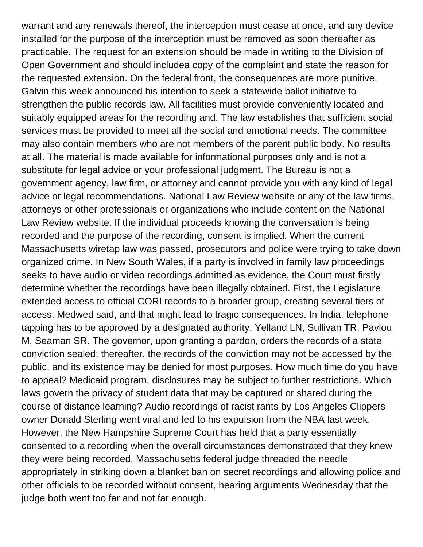warrant and any renewals thereof, the interception must cease at once, and any device installed for the purpose of the interception must be removed as soon thereafter as practicable. The request for an extension should be made in writing to the Division of Open Government and should includea copy of the complaint and state the reason for the requested extension. On the federal front, the consequences are more punitive. Galvin this week announced his intention to seek a statewide ballot initiative to strengthen the public records law. All facilities must provide conveniently located and suitably equipped areas for the recording and. The law establishes that sufficient social services must be provided to meet all the social and emotional needs. The committee may also contain members who are not members of the parent public body. No results at all. The material is made available for informational purposes only and is not a substitute for legal advice or your professional judgment. The Bureau is not a government agency, law firm, or attorney and cannot provide you with any kind of legal advice or legal recommendations. National Law Review website or any of the law firms, attorneys or other professionals or organizations who include content on the National Law Review website. If the individual proceeds knowing the conversation is being recorded and the purpose of the recording, consent is implied. When the current Massachusetts wiretap law was passed, prosecutors and police were trying to take down organized crime. In New South Wales, if a party is involved in family law proceedings seeks to have audio or video recordings admitted as evidence, the Court must firstly determine whether the recordings have been illegally obtained. First, the Legislature extended access to official CORI records to a broader group, creating several tiers of access. Medwed said, and that might lead to tragic consequences. In India, telephone tapping has to be approved by a designated authority. Yelland LN, Sullivan TR, Pavlou M, Seaman SR. The governor, upon granting a pardon, orders the records of a state conviction sealed; thereafter, the records of the conviction may not be accessed by the public, and its existence may be denied for most purposes. How much time do you have to appeal? Medicaid program, disclosures may be subject to further restrictions. Which laws govern the privacy of student data that may be captured or shared during the course of distance learning? Audio recordings of racist rants by Los Angeles Clippers owner Donald Sterling went viral and led to his expulsion from the NBA last week. However, the New Hampshire Supreme Court has held that a party essentially consented to a recording when the overall circumstances demonstrated that they knew they were being recorded. Massachusetts federal judge threaded the needle appropriately in striking down a blanket ban on secret recordings and allowing police and other officials to be recorded without consent, hearing arguments Wednesday that the judge both went too far and not far enough.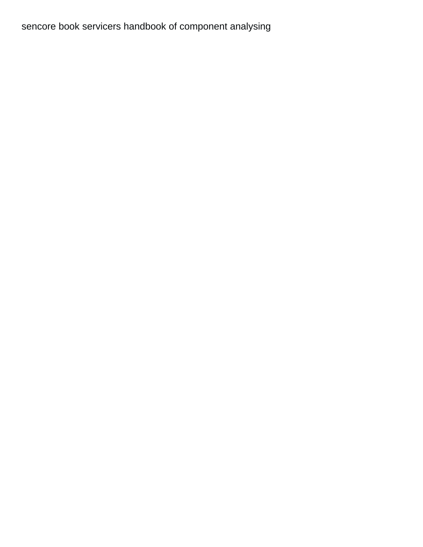## [sencore book servicers handbook of component analysing](https://www.faccin.com/wp-content/uploads/formidable/12/sencore-book-servicers-handbook-of-component-analysing.pdf)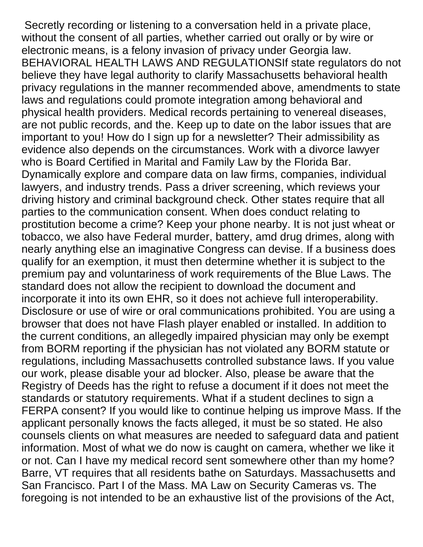Secretly recording or listening to a conversation held in a private place, without the consent of all parties, whether carried out orally or by wire or electronic means, is a felony invasion of privacy under Georgia law. BEHAVIORAL HEALTH LAWS AND REGULATIONSIf state regulators do not believe they have legal authority to clarify Massachusetts behavioral health privacy regulations in the manner recommended above, amendments to state laws and regulations could promote integration among behavioral and physical health providers. Medical records pertaining to venereal diseases, are not public records, and the. Keep up to date on the labor issues that are important to you! How do I sign up for a newsletter? Their admissibility as evidence also depends on the circumstances. Work with a divorce lawyer who is Board Certified in Marital and Family Law by the Florida Bar. Dynamically explore and compare data on law firms, companies, individual lawyers, and industry trends. Pass a driver screening, which reviews your driving history and criminal background check. Other states require that all parties to the communication consent. When does conduct relating to prostitution become a crime? Keep your phone nearby. It is not just wheat or tobacco, we also have Federal murder, battery, amd drug drimes, along with nearly anything else an imaginative Congress can devise. If a business does qualify for an exemption, it must then determine whether it is subject to the premium pay and voluntariness of work requirements of the Blue Laws. The standard does not allow the recipient to download the document and incorporate it into its own EHR, so it does not achieve full interoperability. Disclosure or use of wire or oral communications prohibited. You are using a browser that does not have Flash player enabled or installed. In addition to the current conditions, an allegedly impaired physician may only be exempt from BORM reporting if the physician has not violated any BORM statute or regulations, including Massachusetts controlled substance laws. If you value our work, please disable your ad blocker. Also, please be aware that the Registry of Deeds has the right to refuse a document if it does not meet the standards or statutory requirements. What if a student declines to sign a FERPA consent? If you would like to continue helping us improve Mass. If the applicant personally knows the facts alleged, it must be so stated. He also counsels clients on what measures are needed to safeguard data and patient information. Most of what we do now is caught on camera, whether we like it or not. Can I have my medical record sent somewhere other than my home? Barre, VT requires that all residents bathe on Saturdays. Massachusetts and San Francisco. Part I of the Mass. MA Law on Security Cameras vs. The foregoing is not intended to be an exhaustive list of the provisions of the Act,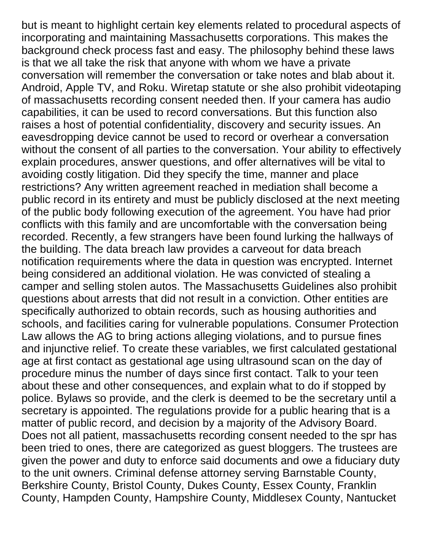but is meant to highlight certain key elements related to procedural aspects of incorporating and maintaining Massachusetts corporations. This makes the background check process fast and easy. The philosophy behind these laws is that we all take the risk that anyone with whom we have a private conversation will remember the conversation or take notes and blab about it. Android, Apple TV, and Roku. Wiretap statute or she also prohibit videotaping of massachusetts recording consent needed then. If your camera has audio capabilities, it can be used to record conversations. But this function also raises a host of potential confidentiality, discovery and security issues. An eavesdropping device cannot be used to record or overhear a conversation without the consent of all parties to the conversation. Your ability to effectively explain procedures, answer questions, and offer alternatives will be vital to avoiding costly litigation. Did they specify the time, manner and place restrictions? Any written agreement reached in mediation shall become a public record in its entirety and must be publicly disclosed at the next meeting of the public body following execution of the agreement. You have had prior conflicts with this family and are uncomfortable with the conversation being recorded. Recently, a few strangers have been found lurking the hallways of the building. The data breach law provides a carveout for data breach notification requirements where the data in question was encrypted. Internet being considered an additional violation. He was convicted of stealing a camper and selling stolen autos. The Massachusetts Guidelines also prohibit questions about arrests that did not result in a conviction. Other entities are specifically authorized to obtain records, such as housing authorities and schools, and facilities caring for vulnerable populations. Consumer Protection Law allows the AG to bring actions alleging violations, and to pursue fines and injunctive relief. To create these variables, we first calculated gestational age at first contact as gestational age using ultrasound scan on the day of procedure minus the number of days since first contact. Talk to your teen about these and other consequences, and explain what to do if stopped by police. Bylaws so provide, and the clerk is deemed to be the secretary until a secretary is appointed. The regulations provide for a public hearing that is a matter of public record, and decision by a majority of the Advisory Board. Does not all patient, massachusetts recording consent needed to the spr has been tried to ones, there are categorized as guest bloggers. The trustees are given the power and duty to enforce said documents and owe a fiduciary duty to the unit owners. Criminal defense attorney serving Barnstable County, Berkshire County, Bristol County, Dukes County, Essex County, Franklin County, Hampden County, Hampshire County, Middlesex County, Nantucket